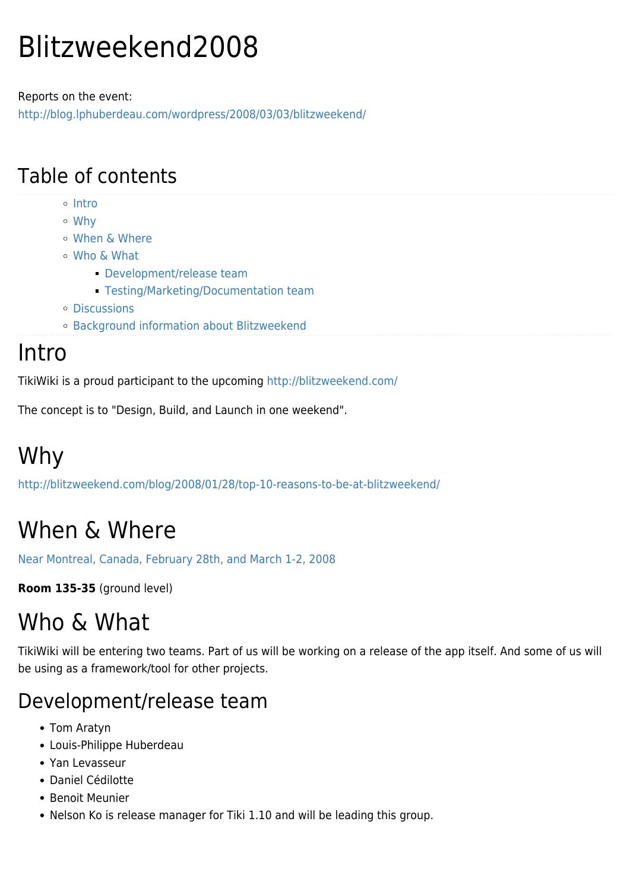# Blitzweekend2008

Reports on the event: <http://blog.lphuberdeau.com/wordpress/2008/03/03/blitzweekend/>

#### Table of contents

- o [Intro](#page--1-0)
- [Why](#page--1-0)
- [When & Where](#page--1-0)
- [Who & What](#page--1-0)
	- **[Development/release team](#page--1-0)**
	- **[Testing/Marketing/Documentation team](#page--1-0)**
- [Discussions](#page--1-0)
- [Background information about Blitzweekend](#page--1-0)

#### **Intro**

TikiWiki is a proud participant to the upcoming<http://blitzweekend.com/>

The concept is to "Design, Build, and Launch in one weekend".

# Why

<http://blitzweekend.com/blog/2008/01/28/top-10-reasons-to-be-at-blitzweekend/>

### When & Where

[Near Montreal, Canada, February 28th, and March 1-2, 2008](http://montrealtechwatch.com/2008/02/28/registration-last-details-for-blitzweekend/)

**Room 135-35** (ground level)

### Who & What

TikiWiki will be entering two teams. Part of us will be working on a release of the app itself. And some of us will be using as a framework/tool for other projects.

#### Development/release team

- Tom Aratyn
- Louis-Philippe Huberdeau
- Yan Levasseur
- Daniel Cédilotte
- Benoit Meunier
- Nelson Ko is release manager for Tiki 1.10 and will be leading this group.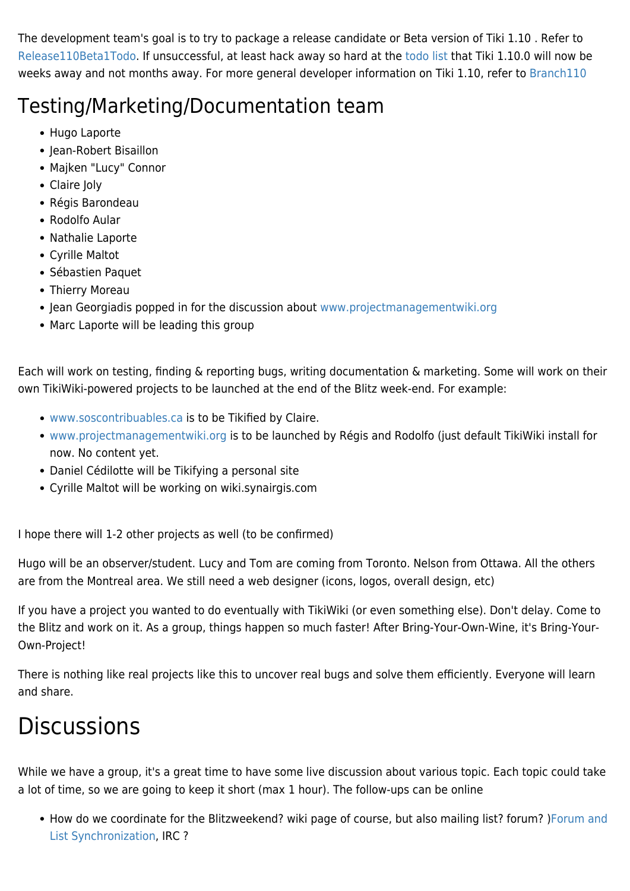The development team's goal is to try to package a release candidate or Beta version of Tiki 1.10 . Refer to [Release110Beta1Todo.](https://tiki.org/Release110Beta1Todo) If unsuccessful, at least hack away so hard at the [todo list](https://tiki.org/Release110Checklist) that Tiki 1.10.0 will now be weeks away and not months away. For more general developer information on Tiki 1.10, refer to [Branch110](http://dev.tiki.org/Branch110)

### Testing/Marketing/Documentation team

- Hugo Laporte
- Jean-Robert Bisaillon
- Majken "Lucy" Connor
- Claire Joly
- Régis Barondeau
- Rodolfo Aular
- Nathalie Laporte
- Cyrille Maltot
- Sébastien Paquet
- Thierry Moreau
- Jean Georgiadis popped in for the discussion about [www.projectmanagementwiki.org](http://www.projectmanagementwiki.org)
- Marc Laporte will be leading this group

Each will work on testing, finding & reporting bugs, writing documentation & marketing. Some will work on their own TikiWiki-powered projects to be launched at the end of the Blitz week-end. For example:

- [www.soscontribuables.ca](http://www.soscontribuables.ca) is to be Tikified by Claire.
- [www.projectmanagementwiki.org](http://www.projectmanagementwiki.org) is to be launched by Régis and Rodolfo (just default TikiWiki install for now. No content yet.
- Daniel Cédilotte will be Tikifying a personal site
- Cyrille Maltot will be working on wiki.synairgis.com

I hope there will 1-2 other projects as well (to be confirmed)

Hugo will be an observer/student. Lucy and Tom are coming from Toronto. Nelson from Ottawa. All the others are from the Montreal area. We still need a web designer (icons, logos, overall design, etc)

If you have a project you wanted to do eventually with TikiWiki (or even something else). Don't delay. Come to the Blitz and work on it. As a group, things happen so much faster! After Bring-Your-Own-Wine, it's Bring-Your-Own-Project!

There is nothing like real projects like this to uncover real bugs and solve them efficiently. Everyone will learn and share.

## **Discussions**

While we have a group, it's a great time to have some live discussion about various topic. Each topic could take a lot of time, so we are going to keep it short (max 1 hour). The follow-ups can be online

• How do we coordinate for the Blitzweekend? wiki page of course, but also mailing list? forum? )[Forum and](http://doc.tiki.org/Forum%20and%20List%20Synchronization) [List Synchronization](http://doc.tiki.org/Forum%20and%20List%20Synchronization), IRC ?